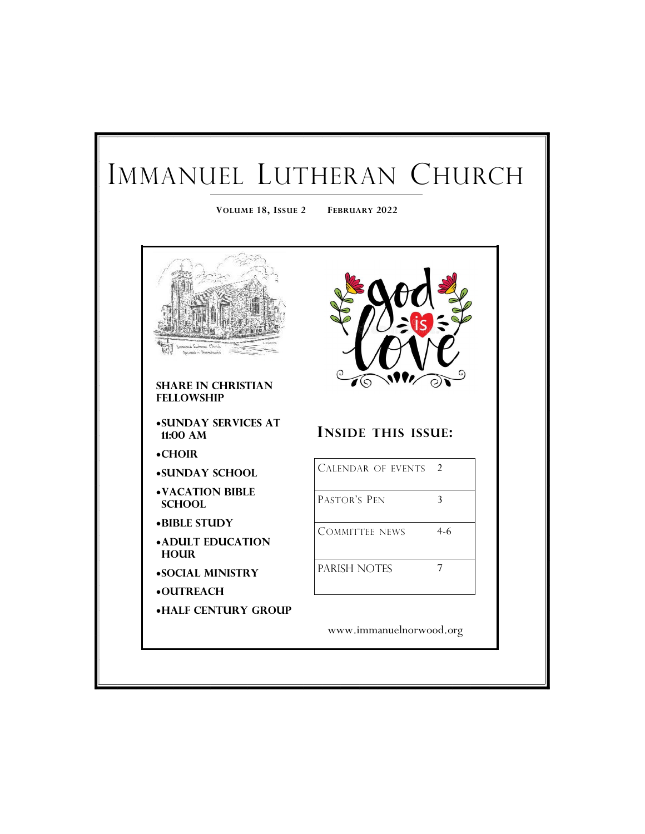## IMMANUEL LUTHERAN CHURCH **VOLUME 18, ISSUE 2 FEBRUARY 2022**  $\mathcal{I}(\mathcal{O})$ **Share in Christian Fellowship Sunday services at INSIDE THIS ISSUE: 11:00 AM Choir** CALENDAR OF EVENTS 2 **Sunday School Vacation Bible**  PASTOR'S PEN 3 **School Bible Study** COMMITTEE NEWS 4-6 **Adult Education Hour** PARISH NOTES 7 **Social Ministry OUTREACH Half Century Group** www.immanuelnorwood.org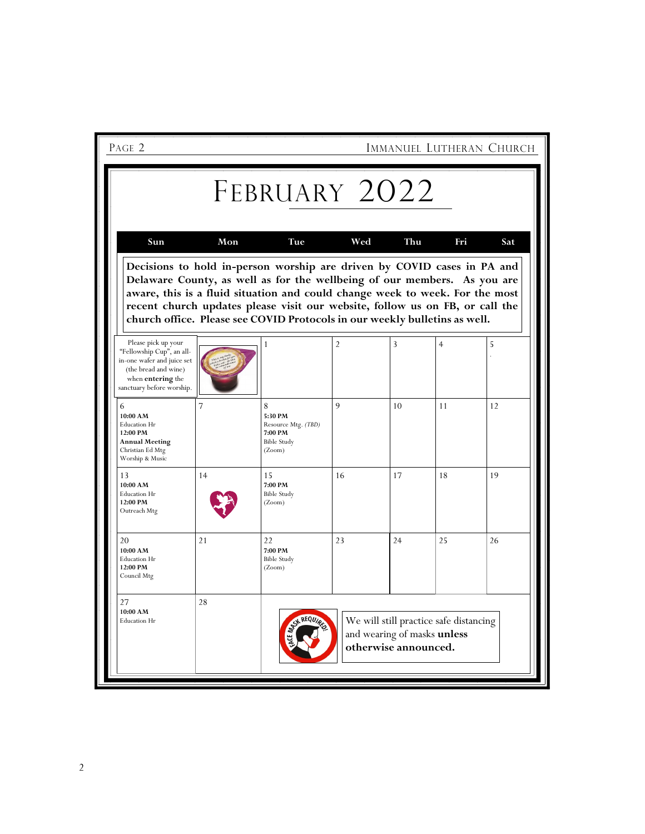| PAGE 2                                                                                                                                                          |     |                                                                                                                                                                                                                                                                                                                                                                                                   |                |                                                     |                                        | IMMANUEL LUTHERAN CHURCH |
|-----------------------------------------------------------------------------------------------------------------------------------------------------------------|-----|---------------------------------------------------------------------------------------------------------------------------------------------------------------------------------------------------------------------------------------------------------------------------------------------------------------------------------------------------------------------------------------------------|----------------|-----------------------------------------------------|----------------------------------------|--------------------------|
| Sun                                                                                                                                                             | Mon | FEBRUARY 2022<br>Tue                                                                                                                                                                                                                                                                                                                                                                              | Wed            | Thu                                                 | Fri                                    | Sat                      |
|                                                                                                                                                                 |     | Decisions to hold in-person worship are driven by COVID cases in PA and<br>Delaware County, as well as for the wellbeing of our members. As you are<br>aware, this is a fluid situation and could change week to week. For the most<br>recent church updates please visit our website, follow us on FB, or call the<br>church office. Please see COVID Protocols in our weekly bulletins as well. |                |                                                     |                                        |                          |
| Please pick up your<br>"Fellowship Cup", an all-<br>in-one wafer and juice set<br>(the bread and wine)<br>when <b>entering</b> the<br>sanctuary before worship. |     | $\mathbf{1}$                                                                                                                                                                                                                                                                                                                                                                                      | $\overline{2}$ | 3                                                   | $\overline{4}$                         | 5                        |
| 6<br>10:00 AM<br>Education Hr<br>12:00 PM<br><b>Annual Meeting</b><br>Christian Ed Mtg<br>Worship & Music                                                       | 7   | 8<br>5:30 PM<br>Resource Mtg. (TBD)<br>7:00 PM<br><b>Bible Study</b><br>(Zoom)                                                                                                                                                                                                                                                                                                                    | 9              | 10                                                  | 11                                     | 12                       |
| 13<br>10:00 AM<br>Education Hr<br>12:00 PM<br>Outreach Mtg                                                                                                      | 14  | 15<br>7:00 PM<br><b>Bible Study</b><br>(Zoom)                                                                                                                                                                                                                                                                                                                                                     | 16             | 17                                                  | 18                                     | 19                       |
| 20<br>10:00 AM<br>Education Hr<br>12:00 PM<br>Council Mtg                                                                                                       | 21  | 22<br>7:00 PM<br><b>Bible Study</b><br>(Zoom)                                                                                                                                                                                                                                                                                                                                                     | 23             | 24                                                  | 25                                     | 26                       |
| 27<br>10:00 AM<br>Education Hr                                                                                                                                  | 28  |                                                                                                                                                                                                                                                                                                                                                                                                   |                | and wearing of masks unless<br>otherwise announced. | We will still practice safe distancing |                          |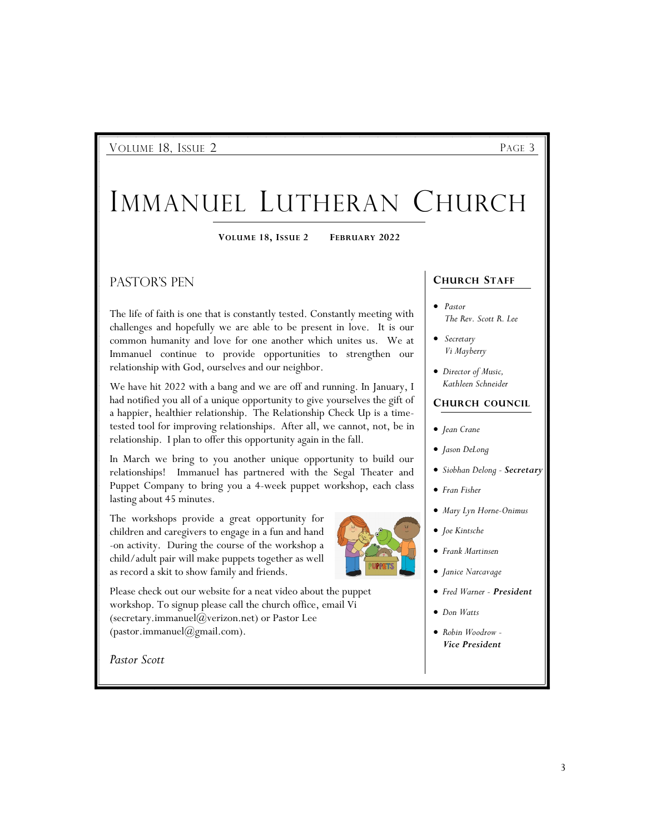VOLUME 18, ISSUE 2 PAGE 3

# IMMANUEL LUTHERAN CHURCH

**VOLUME 18, ISSUE 2 FEBRUARY 2022**

Pastor's Pen

The life of faith is one that is constantly tested. Constantly meeting with challenges and hopefully we are able to be present in love. It is our common humanity and love for one another which unites us. We at Immanuel continue to provide opportunities to strengthen our relationship with God, ourselves and our neighbor.

We have hit 2022 with a bang and we are off and running. In January, I had notified you all of a unique opportunity to give yourselves the gift of a happier, healthier relationship. The Relationship Check Up is a timetested tool for improving relationships. After all, we cannot, not, be in relationship. I plan to offer this opportunity again in the fall.

In March we bring to you another unique opportunity to build our relationships! Immanuel has partnered with the Segal Theater and Puppet Company to bring you a 4-week puppet workshop, each class lasting about 45 minutes.

The workshops provide a great opportunity for children and caregivers to engage in a fun and hand -on activity. During the course of the workshop a child/adult pair will make puppets together as well as record a skit to show family and friends.

Please check out our website for a neat video about the puppet workshop. To signup please call the church office, email Vi (secretary.immanuel $(\partial\!\!\!\!/\,\,\mathit{verizon.net})$  or Pastor Lee (pastor.immanuel@gmail.com).

*Pastor Scott*



- **CHURCH STAFF**
- *Pastor The Rev. Scott R. Lee*
- *Secretary Vi Mayberry*
- *Director of Music, Kathleen Schneider*

#### **CHURCH COUNCIL**

- *Jean Crane*
- *Jason DeLong*
- *Siobhan Delong - Secretary*
- *Fran Fisher*
- *Mary Lyn Horne-Onimus*
- *Joe Kintsche*
- *Frank Martinsen*
- *Janice Narcavage*
- *Fred Warner - President*
- *Don Watts*
- *Robin Woodrow - Vice President*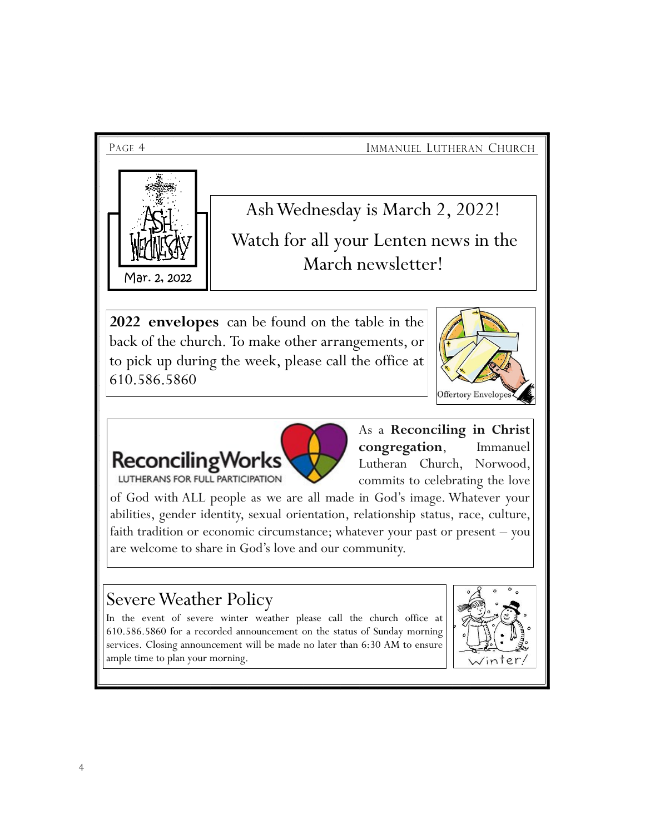

Ash Wednesday is March 2, 2022! Watch for all your Lenten news in the March newsletter!

**2022 envelopes** can be found on the table in the back of the church. To make other arrangements, or to pick up during the week, please call the office at 610.586.5860





As a **Reconciling in Christ congregation**, Immanuel Lutheran Church, Norwood, commits to celebrating the love

of God with ALL people as we are all made in God's image. Whatever your abilities, gender identity, sexual orientation, relationship status, race, culture, faith tradition or economic circumstance; whatever your past or present – you are welcome to share in God's love and our community.

## Severe Weather Policy

In the event of severe winter weather please call the church office at 610.586.5860 for a recorded announcement on the status of Sunday morning services. Closing announcement will be made no later than 6:30 AM to ensure ample time to plan your morning.

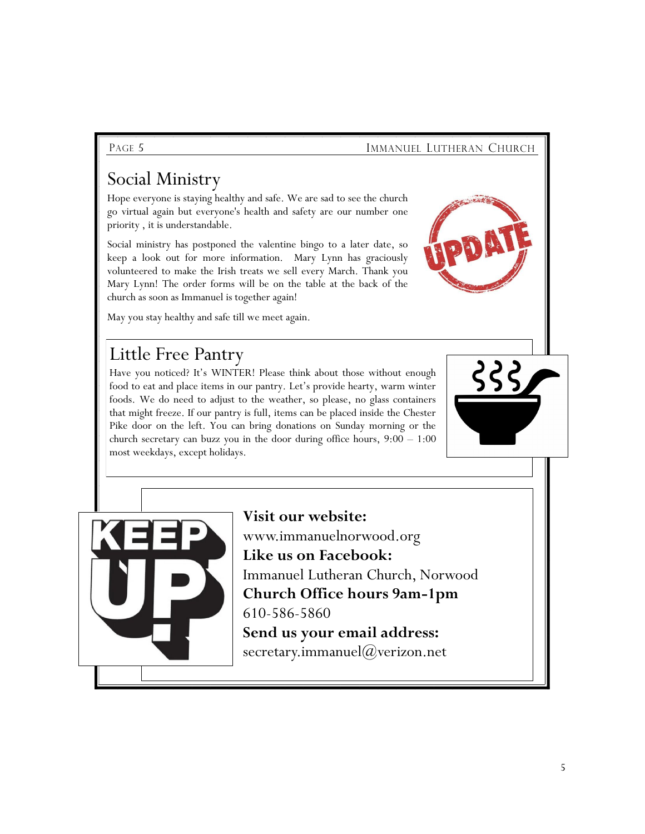### PAGE 5 **IMMANUEL LUTHERAN CHURCH**

## Social Ministry

Hope everyone is staying healthy and safe. We are sad to see the church go virtual again but everyone's health and safety are our number one priority , it is understandable.

Social ministry has postponed the valentine bingo to a later date, so keep a look out for more information. Mary Lynn has graciously volunteered to make the Irish treats we sell every March. Thank you Mary Lynn! The order forms will be on the table at the back of the church as soon as Immanuel is together again!

May you stay healthy and safe till we meet again.

## Little Free Pantry

Have you noticed? It's WINTER! Please think about those without enough food to eat and place items in our pantry. Let's provide hearty, warm winter foods. We do need to adjust to the weather, so please, no glass containers that might freeze. If our pantry is full, items can be placed inside the Chester Pike door on the left. You can bring donations on Sunday morning or the church secretary can buzz you in the door during office hours, 9:00 – 1:00 most weekdays, except holidays.





**Visit our website:**  www.immanuelnorwood.org **Like us on Facebook:**  Immanuel Lutheran Church, Norwood **Church Office hours 9am-1pm**  610-586-5860 **Send us your email address:** secretary.immanuel@verizon.net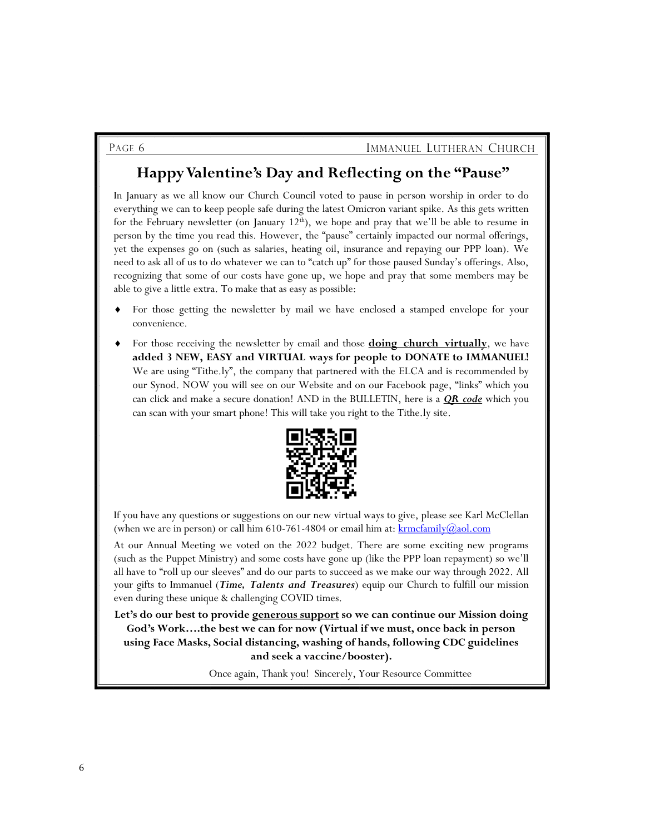## **Happy Valentine's Day and Reflecting on the "Pause"**

In January as we all know our Church Council voted to pause in person worship in order to do everything we can to keep people safe during the latest Omicron variant spike. As this gets written for the February newsletter (on January  $12<sup>th</sup>$ ), we hope and pray that we'll be able to resume in person by the time you read this. However, the "pause" certainly impacted our normal offerings, yet the expenses go on (such as salaries, heating oil, insurance and repaying our PPP loan). We need to ask all of us to do whatever we can to "catch up" for those paused Sunday's offerings. Also, recognizing that some of our costs have gone up, we hope and pray that some members may be able to give a little extra. To make that as easy as possible:

- For those getting the newsletter by mail we have enclosed a stamped envelope for your convenience.
- For those receiving the newsletter by email and those **doing church virtually**, we have **added 3 NEW, EASY and VIRTUAL ways for people to DONATE to IMMANUEL!** We are using "Tithe.ly", the company that partnered with the ELCA and is recommended by our Synod. NOW you will see on our Website and on our Facebook page, "links" which you can click and make a secure donation! AND in the BULLETIN, here is a *QR code* which you can scan with your smart phone! This will take you right to the Tithe.ly site.



If you have any questions or suggestions on our new virtual ways to give, please see Karl McClellan (when we are in person) or call him  $610-761-4804$  or email him at:  $\frac{\text{krmofamily}(a)_{\text{aol.com}}}{\text{kcmofamily}(a)}$ 

At our Annual Meeting we voted on the 2022 budget. There are some exciting new programs (such as the Puppet Ministry) and some costs have gone up (like the PPP loan repayment) so we'll all have to "roll up our sleeves" and do our parts to succeed as we make our way through 2022. All your gifts to Immanuel (*Time, Talents and Treasures*) equip our Church to fulfill our mission even during these unique & challenging COVID times.

**Let's do our best to provide generous support so we can continue our Mission doing God's Work….the best we can for now (Virtual if we must, once back in person using Face Masks, Social distancing, washing of hands, following CDC guidelines and seek a vaccine/booster).**

Once again, Thank you! Sincerely, Your Resource Committee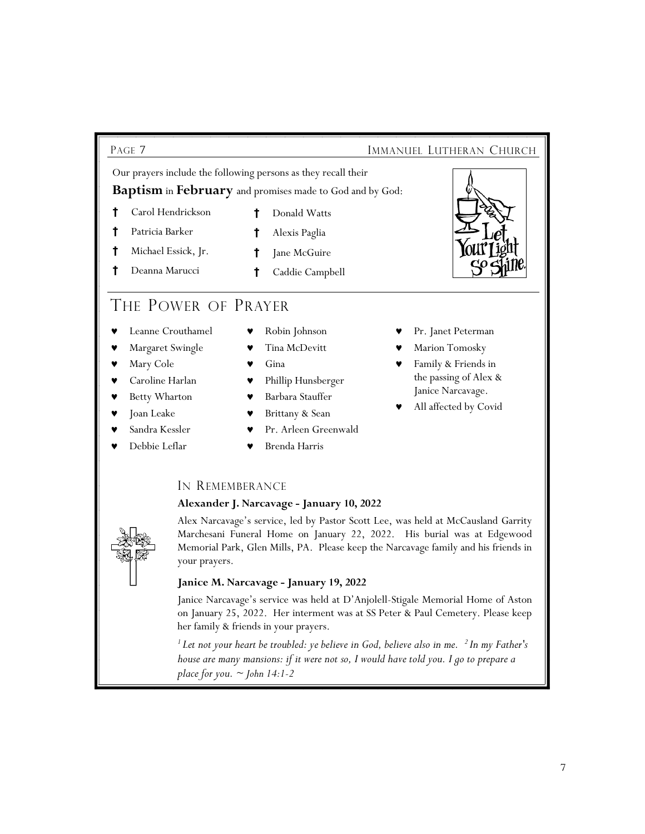### PAGE 7 **IMMANUEL LUTHERAN CHURCH**

Our prayers include the following persons as they recall their

**Baptism** in **February** and promises made to God and by God:

- **†** Carol Hendrickson **†** Donald Watts
- **†** Patricia Barker **†** Alexis Paglia
- **†** Michael Essick, Jr. **†** Jane McGuire
- **†** Deanna Marucci **†** Caddie Campbell

## THE POWER OF PRAYER

- Leanne Crouthamel
- Margaret Swingle
- Mary Cole
- Caroline Harlan
- Betty Wharton
- Joan Leake
- Sandra Kessler Debbie Leflar
- Robin Johnson
- Tina McDevitt
- Gina
- Phillip Hunsberger
- Barbara Stauffer
- Brittany & Sean
- Pr. Arleen Greenwald Brenda Harris
- -

IN REMEMBERANCE

### **Alexander J. Narcavage - January 10, 2022**

Alex Narcavage's service, led by Pastor Scott Lee, was held at McCausland Garrity Marchesani Funeral Home on January 22, 2022. His burial was at Edgewood Memorial Park, Glen Mills, PA. Please keep the Narcavage family and his friends in your prayers.

### **Janice M. Narcavage - January 19, 2022**

Janice Narcavage's service was held at D'Anjolell-Stigale Memorial Home of Aston on January 25, 2022. Her interment was at SS Peter & Paul Cemetery. Please keep her family & friends in your prayers.

*<sup>1</sup>Let not your heart be troubled: ye believe in God, believe also in me. <sup>2</sup>In my Father's house are many mansions: if it were not so, I would have told you. I go to prepare a place for you. ~ John 14:1-2*



- Pr. Janet Peterman
- Marion Tomosky
- Family & Friends in the passing of Alex & Janice Narcavage.
- All affected by Covid